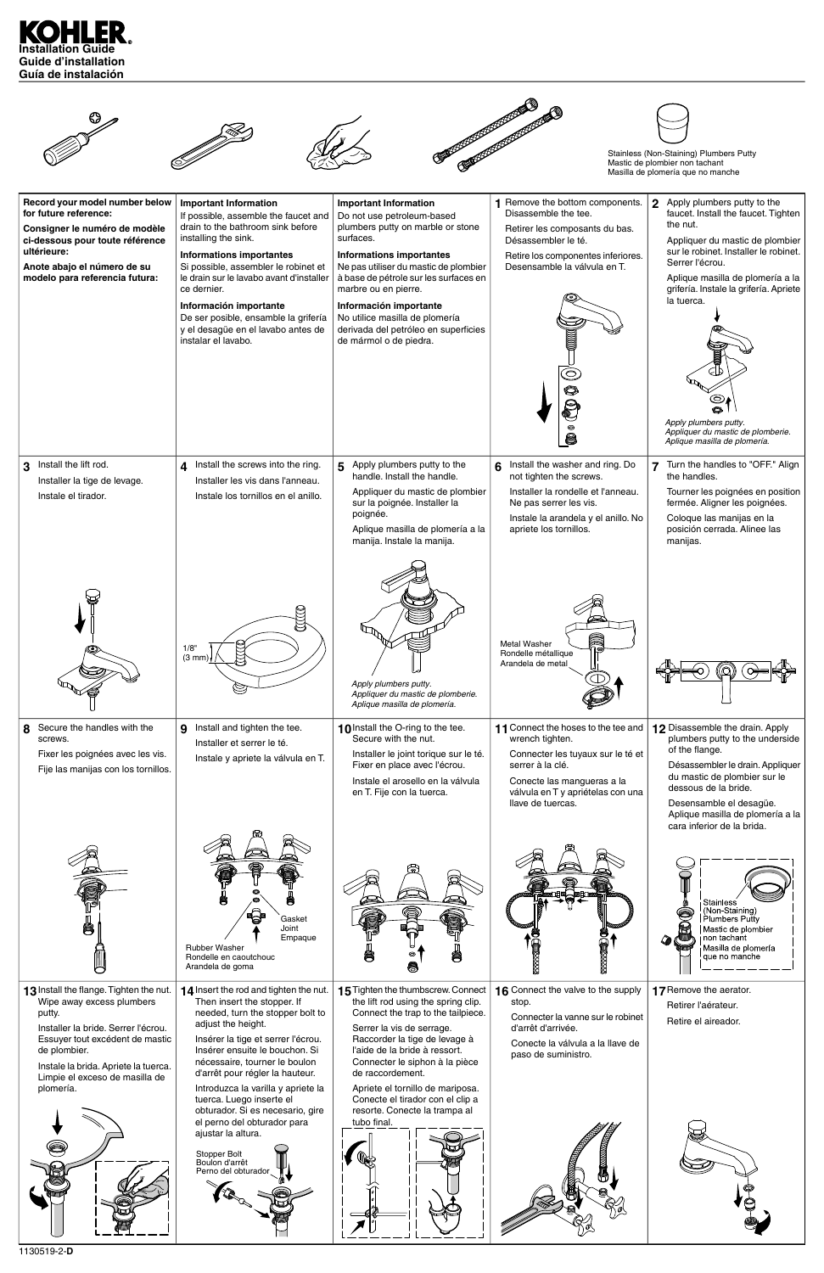

|                                                                                                                                                                                                                                                                 |                                                                                                                                                                                                                                                                                                                                                                                                                                        |                                                                                                                                                                                                                                                                                                                                                                                              |                                                                                                                                                                                                         | Stainless (Non-Staining) Plumbers Putty                                                                                                                                                                                                                                                                                                                                                 |
|-----------------------------------------------------------------------------------------------------------------------------------------------------------------------------------------------------------------------------------------------------------------|----------------------------------------------------------------------------------------------------------------------------------------------------------------------------------------------------------------------------------------------------------------------------------------------------------------------------------------------------------------------------------------------------------------------------------------|----------------------------------------------------------------------------------------------------------------------------------------------------------------------------------------------------------------------------------------------------------------------------------------------------------------------------------------------------------------------------------------------|---------------------------------------------------------------------------------------------------------------------------------------------------------------------------------------------------------|-----------------------------------------------------------------------------------------------------------------------------------------------------------------------------------------------------------------------------------------------------------------------------------------------------------------------------------------------------------------------------------------|
|                                                                                                                                                                                                                                                                 |                                                                                                                                                                                                                                                                                                                                                                                                                                        |                                                                                                                                                                                                                                                                                                                                                                                              |                                                                                                                                                                                                         | Mastic de plombier non tachant<br>Masilla de plomería que no manche                                                                                                                                                                                                                                                                                                                     |
| Record your model number below<br>for future reference:<br>Consigner le numéro de modèle<br>ci-dessous pour toute référence<br>ultérieure:<br>Anote abajo el número de su<br>modelo para referencia futura:                                                     | <b>Important Information</b><br>If possible, assemble the faucet and<br>drain to the bathroom sink before<br>installing the sink.<br><b>Informations importantes</b><br>Si possible, assembler le robinet et<br>le drain sur le lavabo avant d'installer<br>ce dernier.<br>Información importante<br>De ser posible, ensamble la grifería<br>y el desagüe en el lavabo antes de<br>instalar el lavabo.                                 | <b>Important Information</b><br>Do not use petroleum-based<br>plumbers putty on marble or stone<br>surfaces.<br><b>Informations importantes</b><br>Ne pas utiliser du mastic de plombier<br>à base de pétrole sur les surfaces en<br>marbre ou en pierre.<br>Información importante<br>No utilice masilla de plomería<br>derivada del petróleo en superficies<br>de mármol o de piedra.      | Remove the bottom components.<br>Disassemble the tee.<br>Retirer les composants du bas.<br>Désassembler le té.<br>Retire los componentes inferiores.<br>Desensamble la válvula en T.<br>8               | Apply plumbers putty to the<br>$\mathbf{2}$<br>faucet. Install the faucet. Tighten<br>the nut.<br>Appliquer du mastic de plombier<br>sur le robinet. Installer le robinet.<br>Serrer l'écrou.<br>Aplique masilla de plomería a la<br>grifería. Instale la grifería. Apriete<br>la tuerca.<br>Apply plumbers putty.<br>Appliquer du mastic de plomberie.<br>Aplique masilla de plomería. |
| Install the lift rod.<br>3<br>Installer la tige de levage.<br>Instale el tirador.                                                                                                                                                                               | 4 Install the screws into the ring.<br>Installer les vis dans l'anneau.<br>Instale los tornillos en el anillo.                                                                                                                                                                                                                                                                                                                         | 5 Apply plumbers putty to the<br>handle. Install the handle.<br>Appliquer du mastic de plombier<br>sur la poignée. Installer la<br>poignée.<br>Aplique masilla de plomería a la<br>manija. Instale la manija.                                                                                                                                                                                | Install the washer and ring. Do<br>6<br>not tighten the screws.<br>Installer la rondelle et l'anneau.<br>Ne pas serrer les vis.<br>Instale la arandela y el anillo. No<br>apriete los tornillos.        | Turn the handles to "OFF." Align<br>the handles.<br>Tourner les poignées en position<br>fermée. Aligner les poignées.<br>Coloque las manijas en la<br>posición cerrada. Alinee las<br>manijas.                                                                                                                                                                                          |
|                                                                                                                                                                                                                                                                 | 1/8"<br>(3 mm)                                                                                                                                                                                                                                                                                                                                                                                                                         | Apply plumbers putty.<br>Appliquer du mastic de plomberie.<br>Aplique masilla de plomería.                                                                                                                                                                                                                                                                                                   | Metal Washer<br>Rondelle métallique<br>Arandela de metal                                                                                                                                                |                                                                                                                                                                                                                                                                                                                                                                                         |
| Secure the handles with the<br>8<br>screws.<br>Fixer les poignées avec les vis.<br>Fije las manijas con los tornillos.                                                                                                                                          | Install and tighten the tee.<br>9<br>Installer et serrer le té.<br>Instale y apriete la válvula en T.                                                                                                                                                                                                                                                                                                                                  | 10 Install the O-ring to the tee.<br>Secure with the nut.<br>Installer le joint torique sur le té.<br>Fixer en place avec l'écrou.<br>Instale el arosello en la válvula<br>en T. Fije con la tuerca.                                                                                                                                                                                         | 11 Connect the hoses to the tee and<br>wrench tighten.<br>Connecter les tuyaux sur le té et<br>serrer à la clé.<br>Conecte las mangueras a la<br>válvula en T y apriételas con una<br>llave de tuercas. | 12 Disassemble the drain. Apply<br>plumbers putty to the underside<br>of the flange.<br>Désassembler le drain. Appliquer<br>du mastic de plombier sur le<br>dessous de la bride.<br>Desensamble el desagüe.<br>Aplique masilla de plomería a la<br>cara inferior de la brida.                                                                                                           |
| ٣                                                                                                                                                                                                                                                               | Gasket<br>Joint<br>Empaque<br>Rubber Washer<br>Rondelle en caoutchouc<br>Arandela de goma                                                                                                                                                                                                                                                                                                                                              | 8<br>6                                                                                                                                                                                                                                                                                                                                                                                       |                                                                                                                                                                                                         | Stainless<br>(Non-Staining)<br>Plumbers Putty<br>Mastic de plombier<br>non tachant<br>Masilla de plomería<br>que no manche                                                                                                                                                                                                                                                              |
| 13 Install the flange. Tighten the nut.<br>Wipe away excess plumbers<br>putty.<br>Installer la bride. Serrer l'écrou.<br>Essuyer tout excédent de mastic<br>de plombier.<br>Instale la brida. Apriete la tuerca.<br>Limpie el exceso de masilla de<br>plomería. | 14 Insert the rod and tighten the nut.<br>Then insert the stopper. If<br>needed, turn the stopper bolt to<br>adjust the height.<br>Insérer la tige et serrer l'écrou.<br>Insérer ensuite le bouchon. Si<br>nécessaire, tourner le boulon<br>d'arrêt pour régler la hauteur.<br>Introduzca la varilla y apriete la<br>tuerca. Luego inserte el<br>obturador. Si es necesario, gire<br>el perno del obturador para<br>ajustar la altura. | 15 Tighten the thumbscrew. Connect<br>the lift rod using the spring clip.<br>Connect the trap to the tailpiece.<br>Serrer la vis de serrage.<br>Raccorder la tige de levage à<br>l'aide de la bride à ressort.<br>Connecter le siphon à la pièce<br>de raccordement.<br>Apriete el tornillo de mariposa.<br>Conecte el tirador con el clip a<br>resorte. Conecte la trampa al<br>tubo final. | 16 Connect the valve to the supply<br>stop.<br>Connecter la vanne sur le robinet<br>d'arrêt d'arrivée.<br>Conecte la válvula a la llave de<br>paso de suministro.                                       | 17 Remove the aerator.<br>Retirer l'aérateur.<br>Retire el aireador.                                                                                                                                                                                                                                                                                                                    |
| 1130519-2-D                                                                                                                                                                                                                                                     | Stopper Bolt<br>Boulon d'arrêt<br>Perno del obturador                                                                                                                                                                                                                                                                                                                                                                                  |                                                                                                                                                                                                                                                                                                                                                                                              |                                                                                                                                                                                                         |                                                                                                                                                                                                                                                                                                                                                                                         |